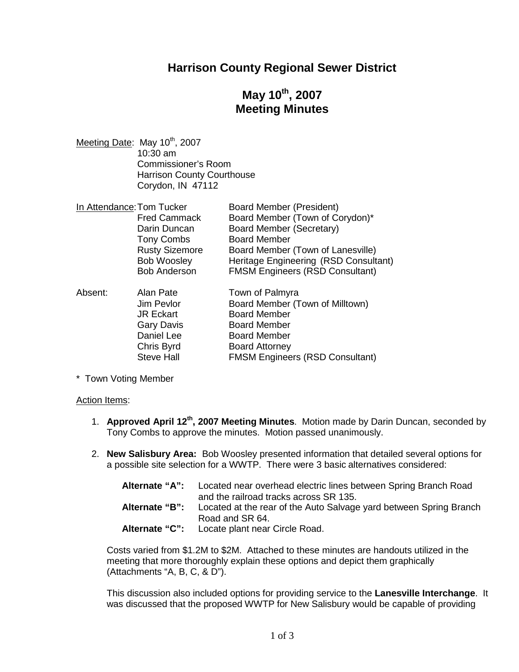## **Harrison County Regional Sewer District**

# **May 10th , 2007 Meeting Minutes**

Meeting Date: May 10<sup>th</sup>, 2007 10:30 am Commissioner's Room Harrison County Courthouse Corydon, IN 47112

| In Attendance: Tom Tucker       |                                        | <b>Board Member (President)</b>        |
|---------------------------------|----------------------------------------|----------------------------------------|
|                                 | <b>Fred Cammack</b>                    | Board Member (Town of Corydon)*        |
|                                 | Darin Duncan                           | Board Member (Secretary)               |
|                                 | <b>Tony Combs</b>                      | <b>Board Member</b>                    |
|                                 | <b>Rusty Sizemore</b>                  | Board Member (Town of Lanesville)      |
|                                 | <b>Bob Woosley</b>                     | Heritage Engineering (RSD Consultant)  |
|                                 | <b>Bob Anderson</b>                    | <b>FMSM Engineers (RSD Consultant)</b> |
| $\Lambda$ is a set of $\Lambda$ | $\mathbf{A}$ $\mathbf{A}$ $\mathbf{B}$ | $T_{\text{max}}$ of Delasting          |

| Absent: | Alan Pate         | Town of Palmyra                        |
|---------|-------------------|----------------------------------------|
|         | Jim Pevlor        | Board Member (Town of Milltown)        |
|         | <b>JR Eckart</b>  | <b>Board Member</b>                    |
|         | <b>Gary Davis</b> | <b>Board Member</b>                    |
|         | Daniel Lee        | <b>Board Member</b>                    |
|         | Chris Byrd        | <b>Board Attorney</b>                  |
|         | <b>Steve Hall</b> | <b>FMSM Engineers (RSD Consultant)</b> |

\* Town Voting Member

#### Action Items:

- 1. **Approved April 12th , 2007 Meeting Minutes**. Motion made by Darin Duncan, seconded by Tony Combs to approve the minutes. Motion passed unanimously.
- 2. **New Salisbury Area:** Bob Woosley presented information that detailed several options for a possible site selection for a WWTP. There were 3 basic alternatives considered:

| Alternate "A": | Located near overhead electric lines between Spring Branch Road<br>and the railroad tracks across SR 135. |
|----------------|-----------------------------------------------------------------------------------------------------------|
| Alternate "B": | Located at the rear of the Auto Salvage yard between Spring Branch<br>Road and SR 64.                     |
| Alternate "C": | Locate plant near Circle Road.                                                                            |

Costs varied from \$1.2M to \$2M. Attached to these minutes are handouts utilized in the meeting that more thoroughly explain these options and depict them graphically (Attachments "A, B, C, & D").

This discussion also included options for providing service to the **Lanesville Interchange**. It was discussed that the proposed WWTP for New Salisbury would be capable of providing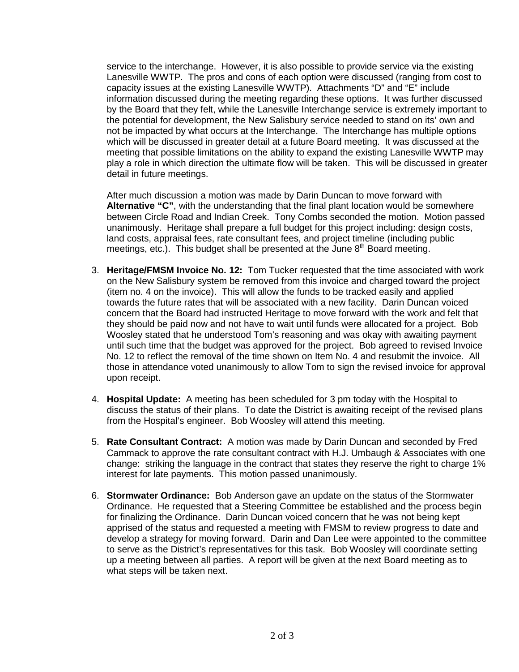service to the interchange. However, it is also possible to provide service via the existing Lanesville WWTP. The pros and cons of each option were discussed (ranging from cost to capacity issues at the existing Lanesville WWTP). Attachments "D" and "E" include information discussed during the meeting regarding these options. It was further discussed by the Board that they felt, while the Lanesville Interchange service is extremely important to the potential for development, the New Salisbury service needed to stand on its' own and not be impacted by what occurs at the Interchange. The Interchange has multiple options which will be discussed in greater detail at a future Board meeting. It was discussed at the meeting that possible limitations on the ability to expand the existing Lanesville WWTP may play a role in which direction the ultimate flow will be taken. This will be discussed in greater detail in future meetings.

After much discussion a motion was made by Darin Duncan to move forward with **Alternative "C"**, with the understanding that the final plant location would be somewhere between Circle Road and Indian Creek. Tony Combs seconded the motion. Motion passed unanimously. Heritage shall prepare a full budget for this project including: design costs, land costs, appraisal fees, rate consultant fees, and project timeline (including public meetings, etc.). This budget shall be presented at the June  $8<sup>th</sup>$  Board meeting.

- 3. **Heritage/FMSM Invoice No. 12:** Tom Tucker requested that the time associated with work on the New Salisbury system be removed from this invoice and charged toward the project (item no. 4 on the invoice). This will allow the funds to be tracked easily and applied towards the future rates that will be associated with a new facility. Darin Duncan voiced concern that the Board had instructed Heritage to move forward with the work and felt that they should be paid now and not have to wait until funds were allocated for a project. Bob Woosley stated that he understood Tom's reasoning and was okay with awaiting payment until such time that the budget was approved for the project. Bob agreed to revised Invoice No. 12 to reflect the removal of the time shown on Item No. 4 and resubmit the invoice. All those in attendance voted unanimously to allow Tom to sign the revised invoice for approval upon receipt.
- 4. **Hospital Update:** A meeting has been scheduled for 3 pm today with the Hospital to discuss the status of their plans. To date the District is awaiting receipt of the revised plans from the Hospital's engineer. Bob Woosley will attend this meeting.
- 5. **Rate Consultant Contract:** A motion was made by Darin Duncan and seconded by Fred Cammack to approve the rate consultant contract with H.J. Umbaugh & Associates with one change: striking the language in the contract that states they reserve the right to charge 1% interest for late payments. This motion passed unanimously.
- 6. **Stormwater Ordinance:** Bob Anderson gave an update on the status of the Stormwater Ordinance. He requested that a Steering Committee be established and the process begin for finalizing the Ordinance. Darin Duncan voiced concern that he was not being kept apprised of the status and requested a meeting with FMSM to review progress to date and develop a strategy for moving forward. Darin and Dan Lee were appointed to the committee to serve as the District's representatives for this task. Bob Woosley will coordinate setting up a meeting between all parties. A report will be given at the next Board meeting as to what steps will be taken next.